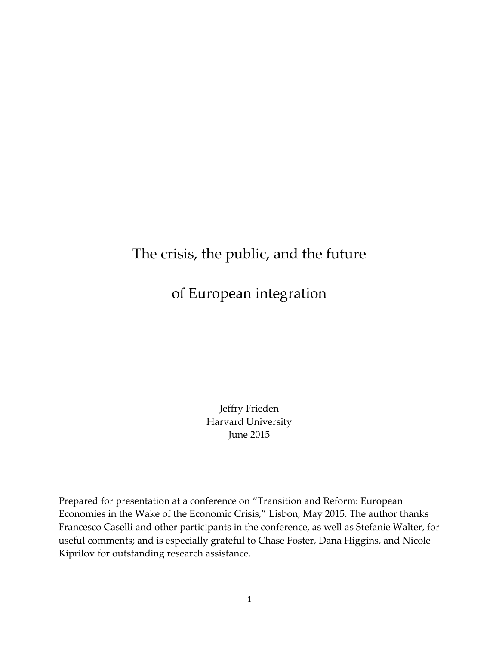## The crisis, the public, and the future

of European integration

Jeffry Frieden Harvard University June 2015

Prepared for presentation at a conference on "Transition and Reform: European Economies in the Wake of the Economic Crisis," Lisbon, May 2015. The author thanks Francesco Caselli and other participants in the conference, as well as Stefanie Walter, for useful comments; and is especially grateful to Chase Foster, Dana Higgins, and Nicole Kiprilov for outstanding research assistance.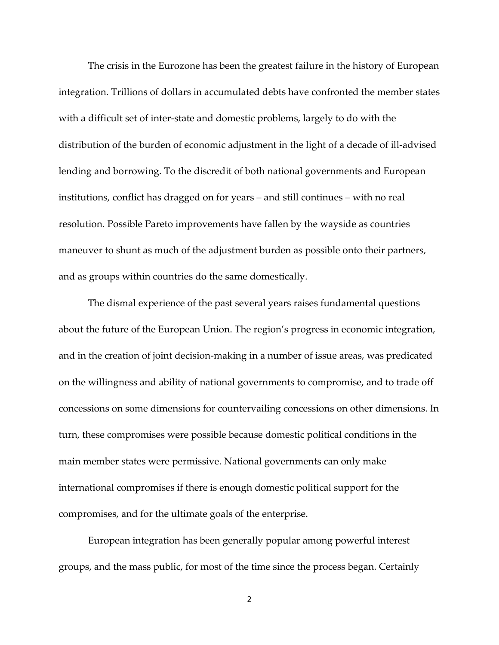The crisis in the Eurozone has been the greatest failure in the history of European integration. Trillions of dollars in accumulated debts have confronted the member states with a difficult set of inter-state and domestic problems, largely to do with the distribution of the burden of economic adjustment in the light of a decade of ill-advised lending and borrowing. To the discredit of both national governments and European institutions, conflict has dragged on for years – and still continues – with no real resolution. Possible Pareto improvements have fallen by the wayside as countries maneuver to shunt as much of the adjustment burden as possible onto their partners, and as groups within countries do the same domestically.

The dismal experience of the past several years raises fundamental questions about the future of the European Union. The region's progress in economic integration, and in the creation of joint decision-making in a number of issue areas, was predicated on the willingness and ability of national governments to compromise, and to trade off concessions on some dimensions for countervailing concessions on other dimensions. In turn, these compromises were possible because domestic political conditions in the main member states were permissive. National governments can only make international compromises if there is enough domestic political support for the compromises, and for the ultimate goals of the enterprise.

European integration has been generally popular among powerful interest groups, and the mass public, for most of the time since the process began. Certainly

2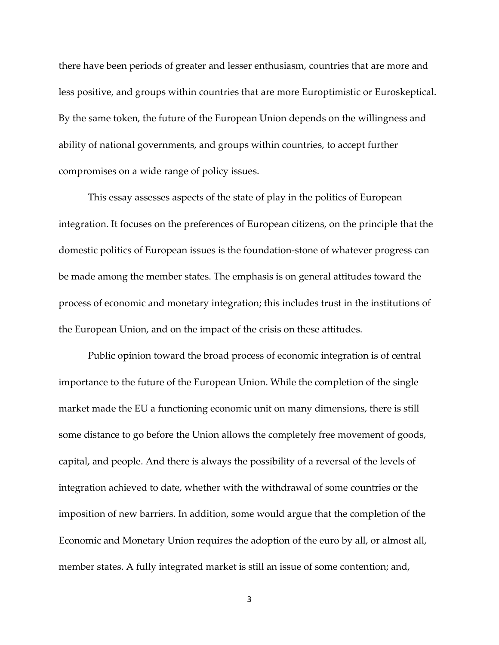there have been periods of greater and lesser enthusiasm, countries that are more and less positive, and groups within countries that are more Europtimistic or Euroskeptical. By the same token, the future of the European Union depends on the willingness and ability of national governments, and groups within countries, to accept further compromises on a wide range of policy issues.

This essay assesses aspects of the state of play in the politics of European integration. It focuses on the preferences of European citizens, on the principle that the domestic politics of European issues is the foundation-stone of whatever progress can be made among the member states. The emphasis is on general attitudes toward the process of economic and monetary integration; this includes trust in the institutions of the European Union, and on the impact of the crisis on these attitudes.

Public opinion toward the broad process of economic integration is of central importance to the future of the European Union. While the completion of the single market made the EU a functioning economic unit on many dimensions, there is still some distance to go before the Union allows the completely free movement of goods, capital, and people. And there is always the possibility of a reversal of the levels of integration achieved to date, whether with the withdrawal of some countries or the imposition of new barriers. In addition, some would argue that the completion of the Economic and Monetary Union requires the adoption of the euro by all, or almost all, member states. A fully integrated market is still an issue of some contention; and,

3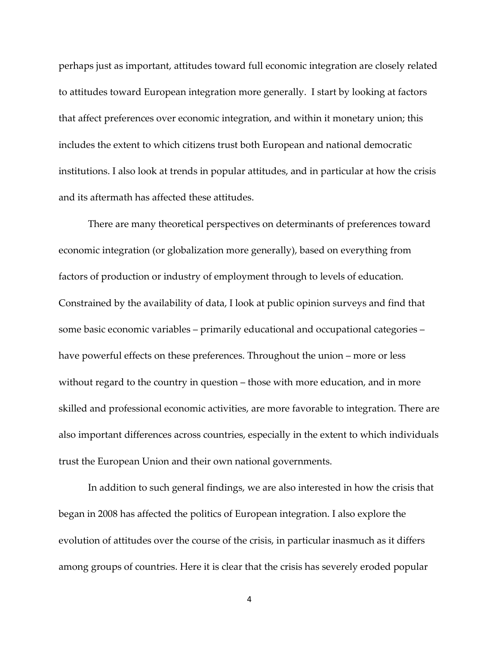perhaps just as important, attitudes toward full economic integration are closely related to attitudes toward European integration more generally. I start by looking at factors that affect preferences over economic integration, and within it monetary union; this includes the extent to which citizens trust both European and national democratic institutions. I also look at trends in popular attitudes, and in particular at how the crisis and its aftermath has affected these attitudes.

There are many theoretical perspectives on determinants of preferences toward economic integration (or globalization more generally), based on everything from factors of production or industry of employment through to levels of education. Constrained by the availability of data, I look at public opinion surveys and find that some basic economic variables – primarily educational and occupational categories – have powerful effects on these preferences. Throughout the union – more or less without regard to the country in question – those with more education, and in more skilled and professional economic activities, are more favorable to integration. There are also important differences across countries, especially in the extent to which individuals trust the European Union and their own national governments.

In addition to such general findings, we are also interested in how the crisis that began in 2008 has affected the politics of European integration. I also explore the evolution of attitudes over the course of the crisis, in particular inasmuch as it differs among groups of countries. Here it is clear that the crisis has severely eroded popular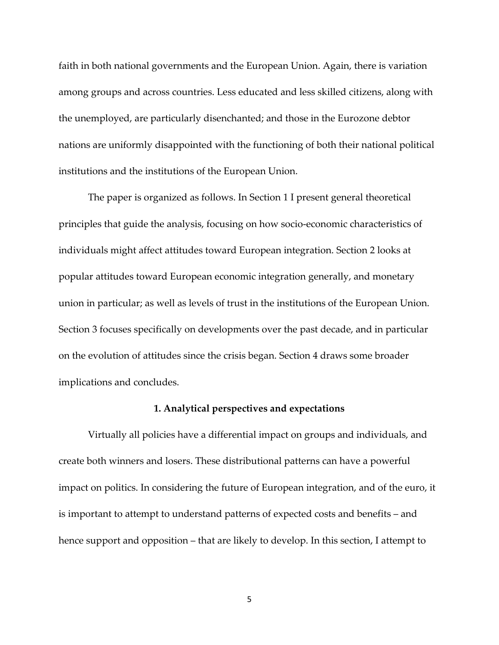faith in both national governments and the European Union. Again, there is variation among groups and across countries. Less educated and less skilled citizens, along with the unemployed, are particularly disenchanted; and those in the Eurozone debtor nations are uniformly disappointed with the functioning of both their national political institutions and the institutions of the European Union.

The paper is organized as follows. In Section 1 I present general theoretical principles that guide the analysis, focusing on how socio-economic characteristics of individuals might affect attitudes toward European integration. Section 2 looks at popular attitudes toward European economic integration generally, and monetary union in particular; as well as levels of trust in the institutions of the European Union. Section 3 focuses specifically on developments over the past decade, and in particular on the evolution of attitudes since the crisis began. Section 4 draws some broader implications and concludes.

#### **1. Analytical perspectives and expectations**

Virtually all policies have a differential impact on groups and individuals, and create both winners and losers. These distributional patterns can have a powerful impact on politics. In considering the future of European integration, and of the euro, it is important to attempt to understand patterns of expected costs and benefits – and hence support and opposition – that are likely to develop. In this section, I attempt to

5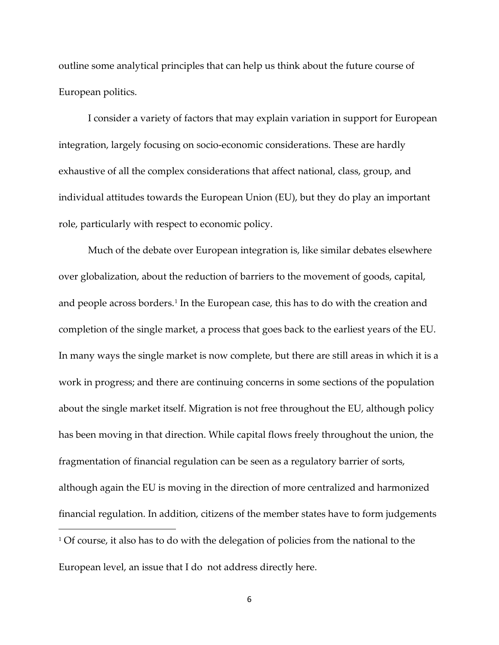outline some analytical principles that can help us think about the future course of European politics.

I consider a variety of factors that may explain variation in support for European integration, largely focusing on socio-economic considerations. These are hardly exhaustive of all the complex considerations that affect national, class, group, and individual attitudes towards the European Union (EU), but they do play an important role, particularly with respect to economic policy.

<span id="page-5-0"></span>Much of the debate over European integration is, like similar debates elsewhere over globalization, about the reduction of barriers to the movement of goods, capital, and people across borders.<sup>[1](#page-5-0)</sup> In the European case, this has to do with the creation and completion of the single market, a process that goes back to the earliest years of the EU. In many ways the single market is now complete, but there are still areas in which it is a work in progress; and there are continuing concerns in some sections of the population about the single market itself. Migration is not free throughout the EU, although policy has been moving in that direction. While capital flows freely throughout the union, the fragmentation of financial regulation can be seen as a regulatory barrier of sorts, although again the EU is moving in the direction of more centralized and harmonized financial regulation. In addition, citizens of the member states have to form judgements  $\overline{\phantom{a}}$  $1$  Of course, it also has to do with the delegation of policies from the national to the European level, an issue that I do not address directly here.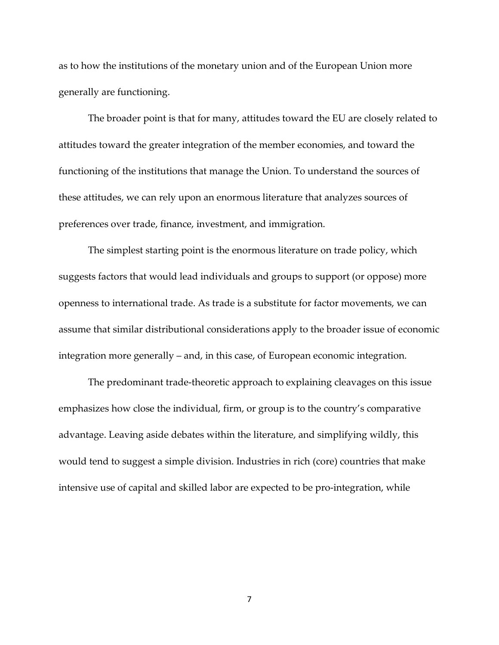as to how the institutions of the monetary union and of the European Union more generally are functioning.

The broader point is that for many, attitudes toward the EU are closely related to attitudes toward the greater integration of the member economies, and toward the functioning of the institutions that manage the Union. To understand the sources of these attitudes, we can rely upon an enormous literature that analyzes sources of preferences over trade, finance, investment, and immigration.

The simplest starting point is the enormous literature on trade policy, which suggests factors that would lead individuals and groups to support (or oppose) more openness to international trade. As trade is a substitute for factor movements, we can assume that similar distributional considerations apply to the broader issue of economic integration more generally – and, in this case, of European economic integration.

The predominant trade-theoretic approach to explaining cleavages on this issue emphasizes how close the individual, firm, or group is to the country's comparative advantage. Leaving aside debates within the literature, and simplifying wildly, this would tend to suggest a simple division. Industries in rich (core) countries that make intensive use of capital and skilled labor are expected to be pro-integration, while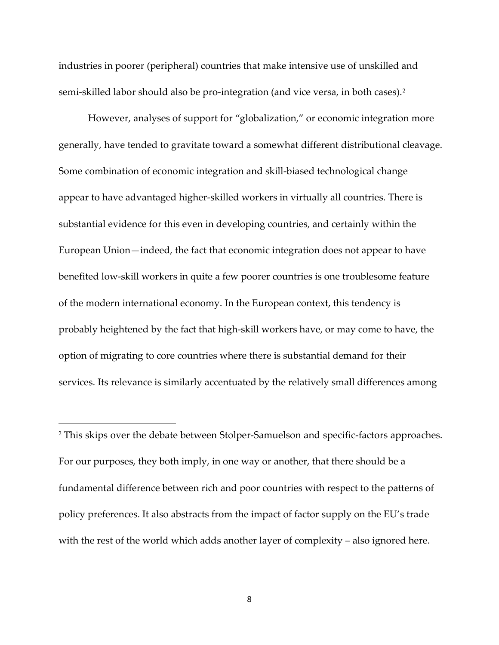industries in poorer (peripheral) countries that make intensive use of unskilled and semi-skilled labor should also be pro-integration (and vice versa, in both cases).<sup>[2](#page-7-0)</sup>

However, analyses of support for "globalization," or economic integration more generally, have tended to gravitate toward a somewhat different distributional cleavage. Some combination of economic integration and skill-biased technological change appear to have advantaged higher-skilled workers in virtually all countries. There is substantial evidence for this even in developing countries, and certainly within the European Union—indeed, the fact that economic integration does not appear to have benefited low-skill workers in quite a few poorer countries is one troublesome feature of the modern international economy. In the European context, this tendency is probably heightened by the fact that high-skill workers have, or may come to have, the option of migrating to core countries where there is substantial demand for their services. Its relevance is similarly accentuated by the relatively small differences among

<span id="page-7-0"></span><sup>2</sup> This skips over the debate between Stolper-Samuelson and specific-factors approaches. For our purposes, they both imply, in one way or another, that there should be a fundamental difference between rich and poor countries with respect to the patterns of policy preferences. It also abstracts from the impact of factor supply on the EU's trade with the rest of the world which adds another layer of complexity – also ignored here.

 $\overline{\phantom{a}}$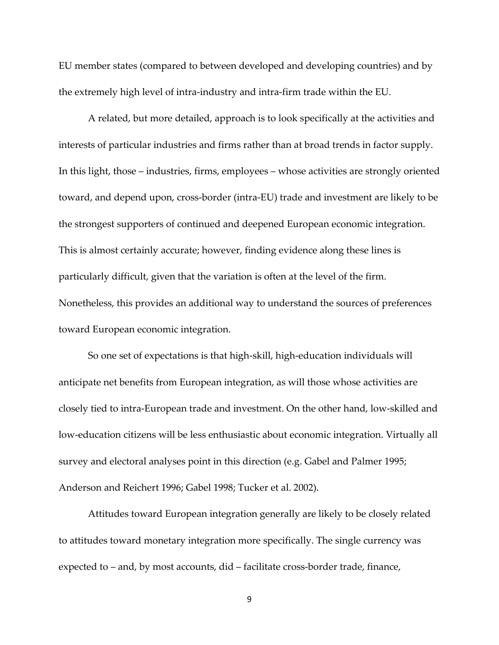EU member states (compared to between developed and developing countries) and by the extremely high level of intra-industry and intra-firm trade within the EU.

A related, but more detailed, approach is to look specifically at the activities and interests of particular industries and firms rather than at broad trends in factor supply. In this light, those – industries, firms, employees – whose activities are strongly oriented toward, and depend upon, cross-border (intra-EU) trade and investment are likely to be the strongest supporters of continued and deepened European economic integration. This is almost certainly accurate; however, finding evidence along these lines is particularly difficult, given that the variation is often at the level of the firm. Nonetheless, this provides an additional way to understand the sources of preferences toward European economic integration.

So one set of expectations is that high-skill, high-education individuals will anticipate net benefits from European integration, as will those whose activities are closely tied to intra-European trade and investment. On the other hand, low-skilled and low-education citizens will be less enthusiastic about economic integration. Virtually all survey and electoral analyses point in this direction (e.g. Gabel and Palmer 1995; Anderson and Reichert 1996; Gabel 1998; Tucker et al. 2002).

Attitudes toward European integration generally are likely to be closely related to attitudes toward monetary integration more specifically. The single currency was expected to – and, by most accounts, did – facilitate cross-border trade, finance,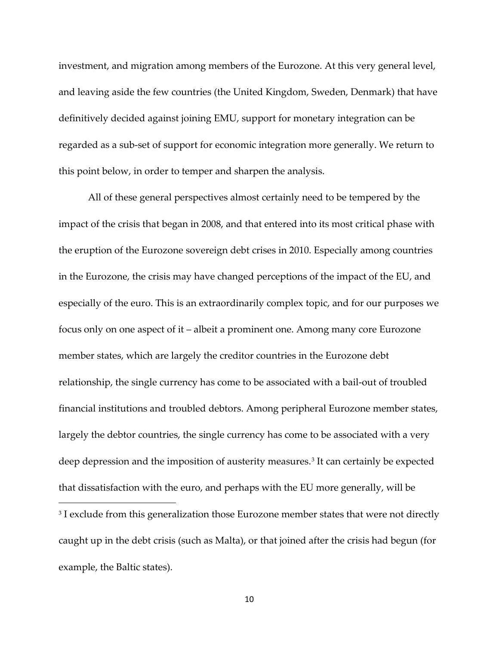investment, and migration among members of the Eurozone. At this very general level, and leaving aside the few countries (the United Kingdom, Sweden, Denmark) that have definitively decided against joining EMU, support for monetary integration can be regarded as a sub-set of support for economic integration more generally. We return to this point below, in order to temper and sharpen the analysis.

<span id="page-9-0"></span>All of these general perspectives almost certainly need to be tempered by the impact of the crisis that began in 2008, and that entered into its most critical phase with the eruption of the Eurozone sovereign debt crises in 2010. Especially among countries in the Eurozone, the crisis may have changed perceptions of the impact of the EU, and especially of the euro. This is an extraordinarily complex topic, and for our purposes we focus only on one aspect of it – albeit a prominent one. Among many core Eurozone member states, which are largely the creditor countries in the Eurozone debt relationship, the single currency has come to be associated with a bail-out of troubled financial institutions and troubled debtors. Among peripheral Eurozone member states, largely the debtor countries, the single currency has come to be associated with a very deep depression and the imposition of austerity measures.<sup>[3](#page-9-0)</sup> It can certainly be expected that dissatisfaction with the euro, and perhaps with the EU more generally, will be  $\overline{\phantom{a}}$ <sup>3</sup> I exclude from this generalization those Eurozone member states that were not directly caught up in the debt crisis (such as Malta), or that joined after the crisis had begun (for example, the Baltic states).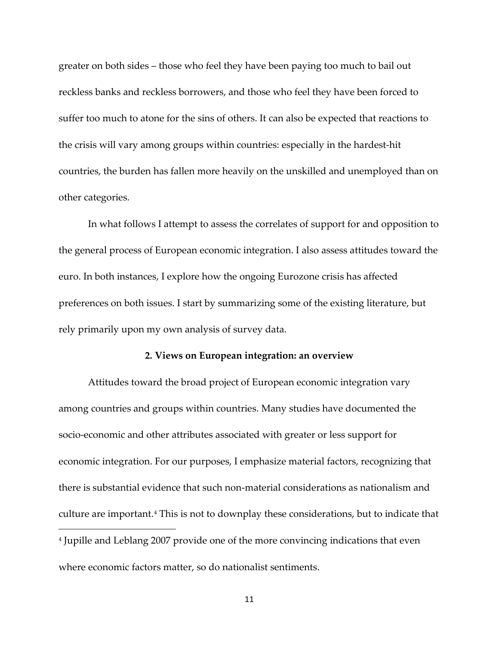greater on both sides – those who feel they have been paying too much to bail out reckless banks and reckless borrowers, and those who feel they have been forced to suffer too much to atone for the sins of others. It can also be expected that reactions to the crisis will vary among groups within countries: especially in the hardest-hit countries, the burden has fallen more heavily on the unskilled and unemployed than on other categories.

In what follows I attempt to assess the correlates of support for and opposition to the general process of European economic integration. I also assess attitudes toward the euro. In both instances, I explore how the ongoing Eurozone crisis has affected preferences on both issues. I start by summarizing some of the existing literature, but rely primarily upon my own analysis of survey data.

### **2. Views on European integration: an overview**

<span id="page-10-0"></span>Attitudes toward the broad project of European economic integration vary among countries and groups within countries. Many studies have documented the socio-economic and other attributes associated with greater or less support for economic integration. For our purposes, I emphasize material factors, recognizing that there is substantial evidence that such non-material considerations as nationalism and culture are important.[4](#page-10-0) This is not to downplay these considerations, but to indicate that  $\overline{\phantom{a}}$ <sup>4</sup> Jupille and Leblang 2007 provide one of the more convincing indications that even where economic factors matter, so do nationalist sentiments.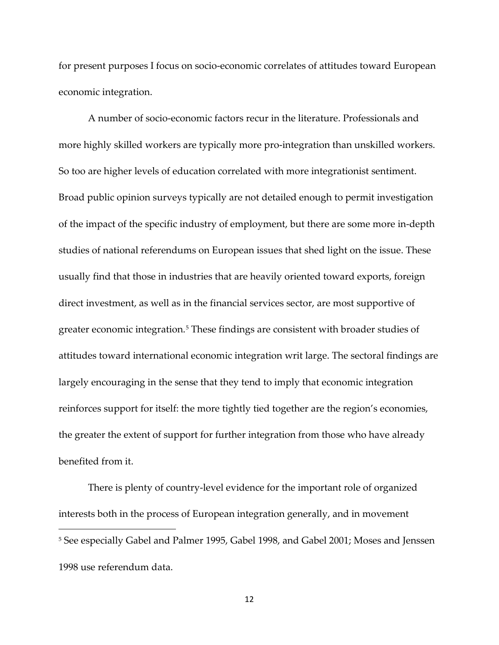for present purposes I focus on socio-economic correlates of attitudes toward European economic integration.

A number of socio-economic factors recur in the literature. Professionals and more highly skilled workers are typically more pro-integration than unskilled workers. So too are higher levels of education correlated with more integrationist sentiment. Broad public opinion surveys typically are not detailed enough to permit investigation of the impact of the specific industry of employment, but there are some more in-depth studies of national referendums on European issues that shed light on the issue. These usually find that those in industries that are heavily oriented toward exports, foreign direct investment, as well as in the financial services sector, are most supportive of greater economic integration.<sup>[5](#page-11-0)</sup> These findings are consistent with broader studies of attitudes toward international economic integration writ large. The sectoral findings are largely encouraging in the sense that they tend to imply that economic integration reinforces support for itself: the more tightly tied together are the region's economies, the greater the extent of support for further integration from those who have already benefited from it.

<span id="page-11-0"></span>There is plenty of country-level evidence for the important role of organized interests both in the process of European integration generally, and in movement  $\overline{\phantom{a}}$ <sup>5</sup> See especially Gabel and Palmer 1995, Gabel 1998, and Gabel 2001; Moses and Jenssen 1998 use referendum data.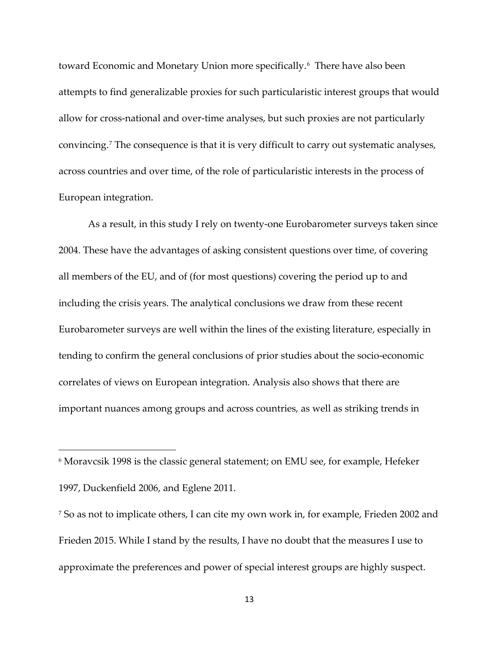toward Economic and Monetary Union more specifically.<sup>[6](#page-12-0)</sup> There have also been attempts to find generalizable proxies for such particularistic interest groups that would allow for cross-national and over-time analyses, but such proxies are not particularly convincing.[7](#page-12-1) The consequence is that it is very difficult to carry out systematic analyses, across countries and over time, of the role of particularistic interests in the process of European integration.

As a result, in this study I rely on twenty-one Eurobarometer surveys taken since 2004. These have the advantages of asking consistent questions over time, of covering all members of the EU, and of (for most questions) covering the period up to and including the crisis years. The analytical conclusions we draw from these recent Eurobarometer surveys are well within the lines of the existing literature, especially in tending to confirm the general conclusions of prior studies about the socio-economic correlates of views on European integration. Analysis also shows that there are important nuances among groups and across countries, as well as striking trends in

l

<span id="page-12-0"></span><sup>6</sup> Moravcsik 1998 is the classic general statement; on EMU see, for example, Hefeker 1997, Duckenfield 2006, and Eglene 2011.

<span id="page-12-1"></span><sup>7</sup> So as not to implicate others, I can cite my own work in, for example, Frieden 2002 and Frieden 2015. While I stand by the results, I have no doubt that the measures I use to approximate the preferences and power of special interest groups are highly suspect.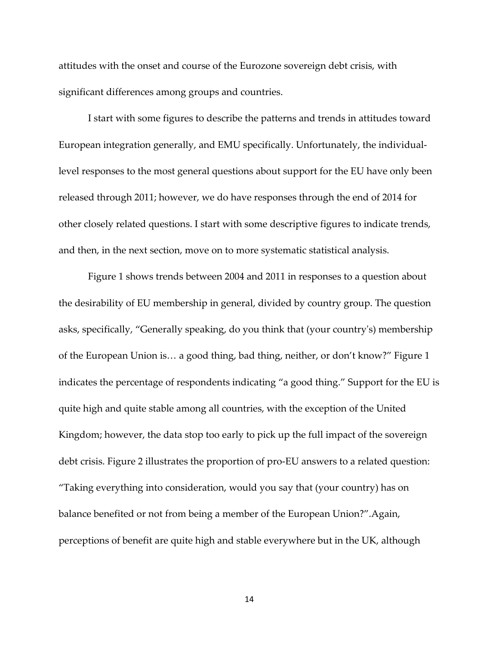attitudes with the onset and course of the Eurozone sovereign debt crisis, with significant differences among groups and countries.

I start with some figures to describe the patterns and trends in attitudes toward European integration generally, and EMU specifically. Unfortunately, the individuallevel responses to the most general questions about support for the EU have only been released through 2011; however, we do have responses through the end of 2014 for other closely related questions. I start with some descriptive figures to indicate trends, and then, in the next section, move on to more systematic statistical analysis.

Figure 1 shows trends between 2004 and 2011 in responses to a question about the desirability of EU membership in general, divided by country group. The question asks, specifically, "Generally speaking, do you think that (your country's) membership of the European Union is… a good thing, bad thing, neither, or don't know?" Figure 1 indicates the percentage of respondents indicating "a good thing." Support for the EU is quite high and quite stable among all countries, with the exception of the United Kingdom; however, the data stop too early to pick up the full impact of the sovereign debt crisis. Figure 2 illustrates the proportion of pro-EU answers to a related question: "Taking everything into consideration, would you say that (your country) has on balance benefited or not from being a member of the European Union?".Again, perceptions of benefit are quite high and stable everywhere but in the UK, although

14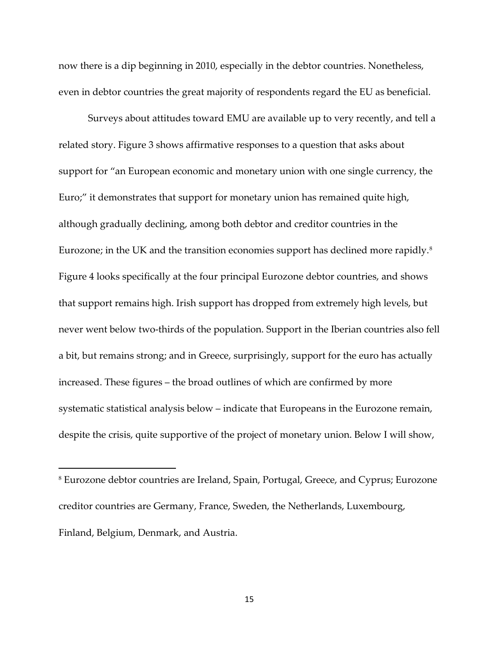now there is a dip beginning in 2010, especially in the debtor countries. Nonetheless, even in debtor countries the great majority of respondents regard the EU as beneficial.

Surveys about attitudes toward EMU are available up to very recently, and tell a related story. Figure 3 shows affirmative responses to a question that asks about support for "an European economic and monetary union with one single currency, the Euro;" it demonstrates that support for monetary union has remained quite high, although gradually declining, among both debtor and creditor countries in the Eurozone; in the UK and the transition economies support has declined more rapidly.[8](#page-14-0) Figure 4 looks specifically at the four principal Eurozone debtor countries, and shows that support remains high. Irish support has dropped from extremely high levels, but never went below two-thirds of the population. Support in the Iberian countries also fell a bit, but remains strong; and in Greece, surprisingly, support for the euro has actually increased. These figures – the broad outlines of which are confirmed by more systematic statistical analysis below – indicate that Europeans in the Eurozone remain, despite the crisis, quite supportive of the project of monetary union. Below I will show,

 $\overline{\phantom{a}}$ 

<span id="page-14-0"></span><sup>8</sup> Eurozone debtor countries are Ireland, Spain, Portugal, Greece, and Cyprus; Eurozone creditor countries are Germany, France, Sweden, the Netherlands, Luxembourg, Finland, Belgium, Denmark, and Austria.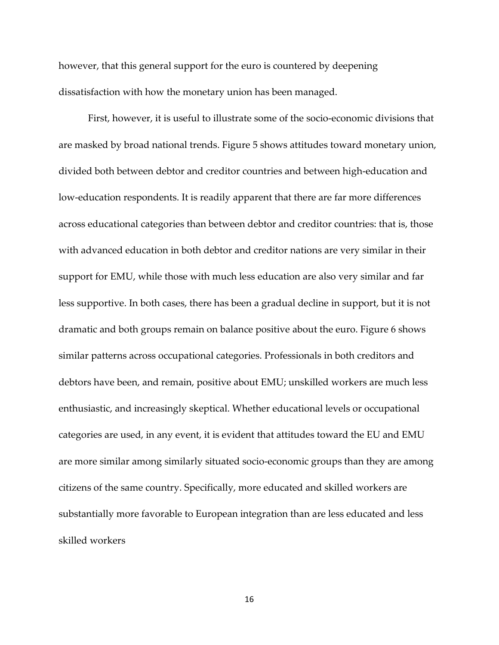however, that this general support for the euro is countered by deepening dissatisfaction with how the monetary union has been managed.

First, however, it is useful to illustrate some of the socio-economic divisions that are masked by broad national trends. Figure 5 shows attitudes toward monetary union, divided both between debtor and creditor countries and between high-education and low-education respondents. It is readily apparent that there are far more differences across educational categories than between debtor and creditor countries: that is, those with advanced education in both debtor and creditor nations are very similar in their support for EMU, while those with much less education are also very similar and far less supportive. In both cases, there has been a gradual decline in support, but it is not dramatic and both groups remain on balance positive about the euro. Figure 6 shows similar patterns across occupational categories. Professionals in both creditors and debtors have been, and remain, positive about EMU; unskilled workers are much less enthusiastic, and increasingly skeptical. Whether educational levels or occupational categories are used, in any event, it is evident that attitudes toward the EU and EMU are more similar among similarly situated socio-economic groups than they are among citizens of the same country. Specifically, more educated and skilled workers are substantially more favorable to European integration than are less educated and less skilled workers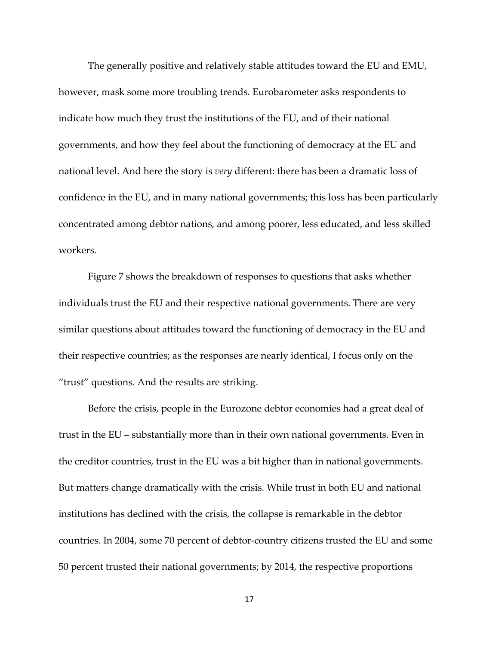The generally positive and relatively stable attitudes toward the EU and EMU, however, mask some more troubling trends. Eurobarometer asks respondents to indicate how much they trust the institutions of the EU, and of their national governments, and how they feel about the functioning of democracy at the EU and national level. And here the story is *very* different: there has been a dramatic loss of confidence in the EU, and in many national governments; this loss has been particularly concentrated among debtor nations, and among poorer, less educated, and less skilled workers.

Figure 7 shows the breakdown of responses to questions that asks whether individuals trust the EU and their respective national governments. There are very similar questions about attitudes toward the functioning of democracy in the EU and their respective countries; as the responses are nearly identical, I focus only on the "trust" questions. And the results are striking.

Before the crisis, people in the Eurozone debtor economies had a great deal of trust in the EU – substantially more than in their own national governments. Even in the creditor countries, trust in the EU was a bit higher than in national governments. But matters change dramatically with the crisis. While trust in both EU and national institutions has declined with the crisis, the collapse is remarkable in the debtor countries. In 2004, some 70 percent of debtor-country citizens trusted the EU and some 50 percent trusted their national governments; by 2014, the respective proportions

17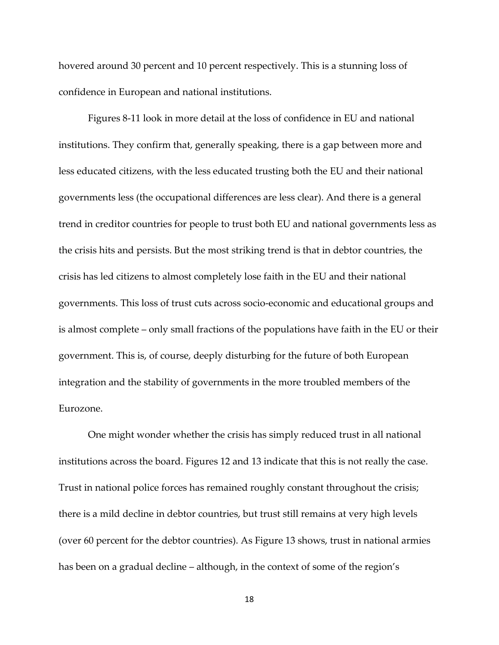hovered around 30 percent and 10 percent respectively. This is a stunning loss of confidence in European and national institutions.

Figures 8-11 look in more detail at the loss of confidence in EU and national institutions. They confirm that, generally speaking, there is a gap between more and less educated citizens, with the less educated trusting both the EU and their national governments less (the occupational differences are less clear). And there is a general trend in creditor countries for people to trust both EU and national governments less as the crisis hits and persists. But the most striking trend is that in debtor countries, the crisis has led citizens to almost completely lose faith in the EU and their national governments. This loss of trust cuts across socio-economic and educational groups and is almost complete – only small fractions of the populations have faith in the EU or their government. This is, of course, deeply disturbing for the future of both European integration and the stability of governments in the more troubled members of the Eurozone.

One might wonder whether the crisis has simply reduced trust in all national institutions across the board. Figures 12 and 13 indicate that this is not really the case. Trust in national police forces has remained roughly constant throughout the crisis; there is a mild decline in debtor countries, but trust still remains at very high levels (over 60 percent for the debtor countries). As Figure 13 shows, trust in national armies has been on a gradual decline – although, in the context of some of the region's

18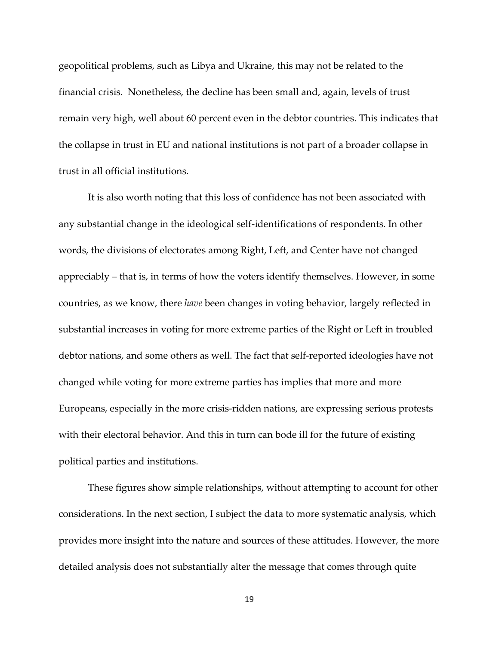geopolitical problems, such as Libya and Ukraine, this may not be related to the financial crisis. Nonetheless, the decline has been small and, again, levels of trust remain very high, well about 60 percent even in the debtor countries. This indicates that the collapse in trust in EU and national institutions is not part of a broader collapse in trust in all official institutions.

It is also worth noting that this loss of confidence has not been associated with any substantial change in the ideological self-identifications of respondents. In other words, the divisions of electorates among Right, Left, and Center have not changed appreciably – that is, in terms of how the voters identify themselves. However, in some countries, as we know, there *have* been changes in voting behavior, largely reflected in substantial increases in voting for more extreme parties of the Right or Left in troubled debtor nations, and some others as well. The fact that self-reported ideologies have not changed while voting for more extreme parties has implies that more and more Europeans, especially in the more crisis-ridden nations, are expressing serious protests with their electoral behavior. And this in turn can bode ill for the future of existing political parties and institutions.

These figures show simple relationships, without attempting to account for other considerations. In the next section, I subject the data to more systematic analysis, which provides more insight into the nature and sources of these attitudes. However, the more detailed analysis does not substantially alter the message that comes through quite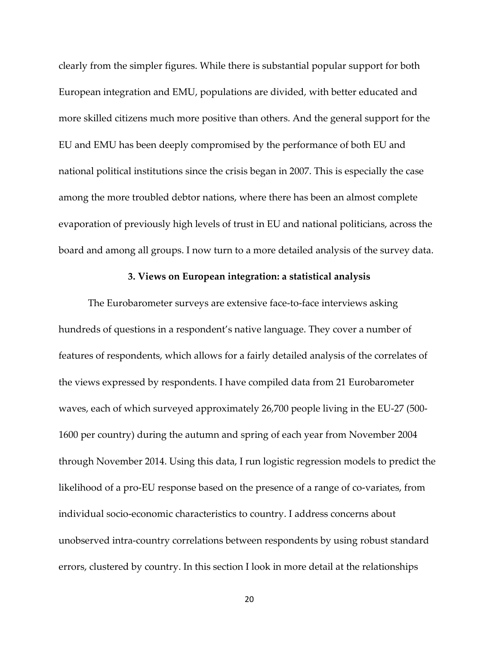clearly from the simpler figures. While there is substantial popular support for both European integration and EMU, populations are divided, with better educated and more skilled citizens much more positive than others. And the general support for the EU and EMU has been deeply compromised by the performance of both EU and national political institutions since the crisis began in 2007. This is especially the case among the more troubled debtor nations, where there has been an almost complete evaporation of previously high levels of trust in EU and national politicians, across the board and among all groups. I now turn to a more detailed analysis of the survey data.

#### **3. Views on European integration: a statistical analysis**

The Eurobarometer surveys are extensive face-to-face interviews asking hundreds of questions in a respondent's native language. They cover a number of features of respondents, which allows for a fairly detailed analysis of the correlates of the views expressed by respondents. I have compiled data from 21 Eurobarometer waves, each of which surveyed approximately 26,700 people living in the EU-27 (500- 1600 per country) during the autumn and spring of each year from November 2004 through November 2014. Using this data, I run logistic regression models to predict the likelihood of a pro-EU response based on the presence of a range of co-variates, from individual socio-economic characteristics to country. I address concerns about unobserved intra-country correlations between respondents by using robust standard errors, clustered by country. In this section I look in more detail at the relationships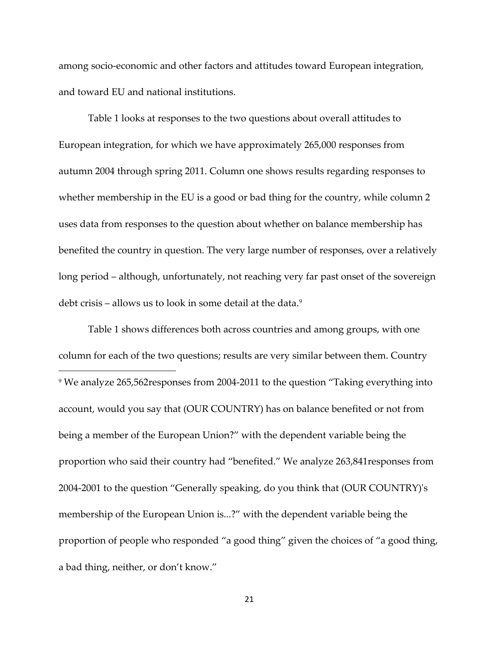among socio-economic and other factors and attitudes toward European integration, and toward EU and national institutions.

Table 1 looks at responses to the two questions about overall attitudes to European integration, for which we have approximately 265,000 responses from autumn 2004 through spring 2011. Column one shows results regarding responses to whether membership in the EU is a good or bad thing for the country, while column 2 uses data from responses to the question about whether on balance membership has benefited the country in question. The very large number of responses, over a relatively long period – although, unfortunately, not reaching very far past onset of the sovereign debt crisis – allows us to look in some detail at the data.<sup>[9](#page-20-0)</sup>

<span id="page-20-0"></span>Table 1 shows differences both across countries and among groups, with one column for each of the two questions; results are very similar between them. Country l <sup>9</sup> We analyze 265,562responses from 2004-2011 to the question "Taking everything into account, would you say that (OUR COUNTRY) has on balance benefited or not from being a member of the European Union?" with the dependent variable being the proportion who said their country had "benefited." We analyze 263,841responses from 2004-2001 to the question "Generally speaking, do you think that (OUR COUNTRY)'s membership of the European Union is...?" with the dependent variable being the proportion of people who responded "a good thing" given the choices of "a good thing, a bad thing, neither, or don't know."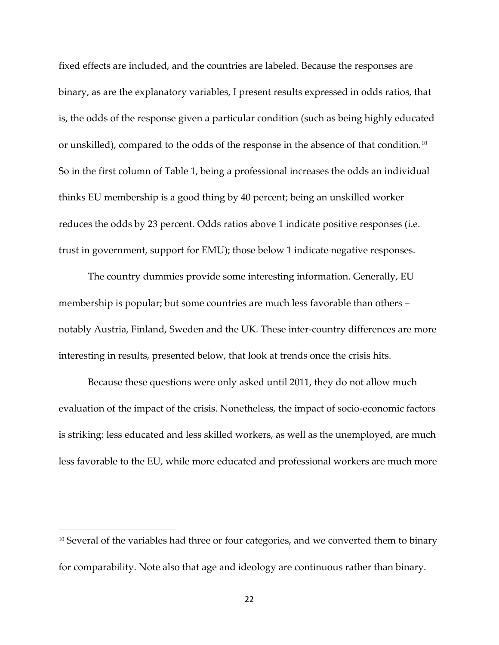fixed effects are included, and the countries are labeled. Because the responses are binary, as are the explanatory variables, I present results expressed in odds ratios, that is, the odds of the response given a particular condition (such as being highly educated or unskilled), compared to the odds of the response in the absence of that condition.[10](#page-21-0) So in the first column of Table 1, being a professional increases the odds an individual thinks EU membership is a good thing by 40 percent; being an unskilled worker reduces the odds by 23 percent. Odds ratios above 1 indicate positive responses (i.e. trust in government, support for EMU); those below 1 indicate negative responses.

The country dummies provide some interesting information. Generally, EU membership is popular; but some countries are much less favorable than others – notably Austria, Finland, Sweden and the UK. These inter-country differences are more interesting in results, presented below, that look at trends once the crisis hits.

Because these questions were only asked until 2011, they do not allow much evaluation of the impact of the crisis. Nonetheless, the impact of socio-economic factors is striking: less educated and less skilled workers, as well as the unemployed, are much less favorable to the EU, while more educated and professional workers are much more

 $\overline{\phantom{a}}$ 

<span id="page-21-0"></span><sup>&</sup>lt;sup>10</sup> Several of the variables had three or four categories, and we converted them to binary for comparability. Note also that age and ideology are continuous rather than binary.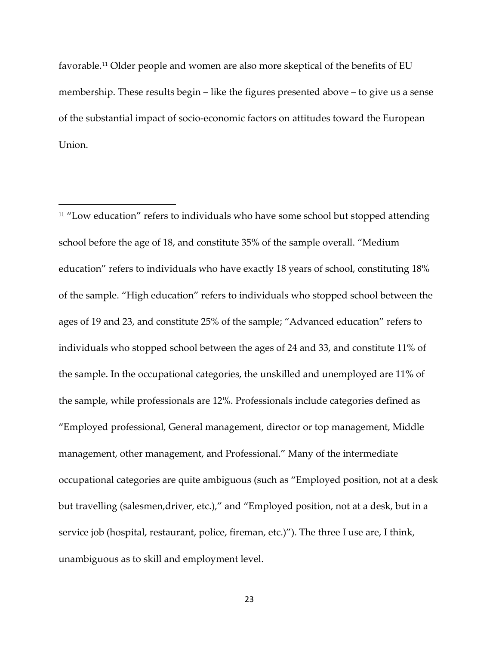favorable.[11](#page-22-0) Older people and women are also more skeptical of the benefits of EU membership. These results begin – like the figures presented above – to give us a sense of the substantial impact of socio-economic factors on attitudes toward the European Union.

l

<span id="page-22-0"></span><sup>11</sup> "Low education" refers to individuals who have some school but stopped attending school before the age of 18, and constitute 35% of the sample overall. "Medium education" refers to individuals who have exactly 18 years of school, constituting 18% of the sample. "High education" refers to individuals who stopped school between the ages of 19 and 23, and constitute 25% of the sample; "Advanced education" refers to individuals who stopped school between the ages of 24 and 33, and constitute 11% of the sample. In the occupational categories, the unskilled and unemployed are 11% of the sample, while professionals are 12%. Professionals include categories defined as "Employed professional, General management, director or top management, Middle management, other management, and Professional." Many of the intermediate occupational categories are quite ambiguous (such as "Employed position, not at a desk but travelling (salesmen,driver, etc.)," and "Employed position, not at a desk, but in a service job (hospital, restaurant, police, fireman, etc.)"). The three I use are, I think, unambiguous as to skill and employment level.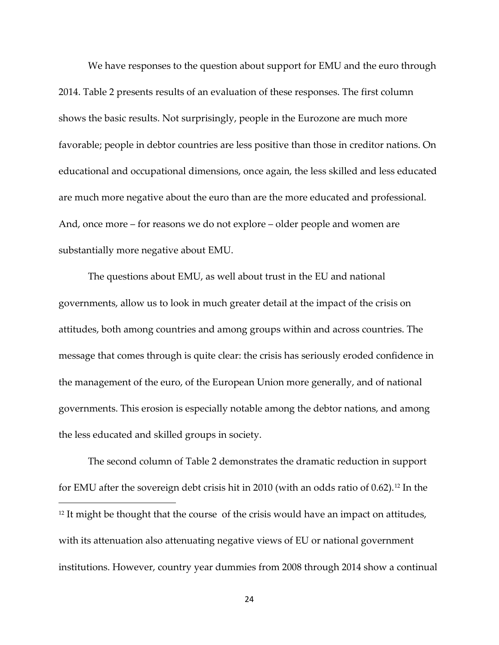We have responses to the question about support for EMU and the euro through 2014. Table 2 presents results of an evaluation of these responses. The first column shows the basic results. Not surprisingly, people in the Eurozone are much more favorable; people in debtor countries are less positive than those in creditor nations. On educational and occupational dimensions, once again, the less skilled and less educated are much more negative about the euro than are the more educated and professional. And, once more – for reasons we do not explore – older people and women are substantially more negative about EMU.

The questions about EMU, as well about trust in the EU and national governments, allow us to look in much greater detail at the impact of the crisis on attitudes, both among countries and among groups within and across countries. The message that comes through is quite clear: the crisis has seriously eroded confidence in the management of the euro, of the European Union more generally, and of national governments. This erosion is especially notable among the debtor nations, and among the less educated and skilled groups in society.

<span id="page-23-0"></span>The second column of Table 2 demonstrates the dramatic reduction in support for EMU after the sovereign debt crisis hit in 2010 (with an odds ratio of 0.62).[12](#page-23-0) In the  $\overline{\phantom{a}}$  $12$  It might be thought that the course of the crisis would have an impact on attitudes, with its attenuation also attenuating negative views of EU or national government institutions. However, country year dummies from 2008 through 2014 show a continual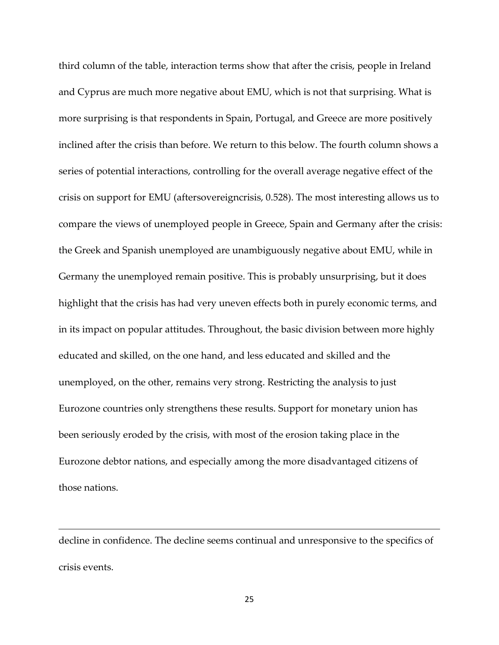third column of the table, interaction terms show that after the crisis, people in Ireland and Cyprus are much more negative about EMU, which is not that surprising. What is more surprising is that respondents in Spain, Portugal, and Greece are more positively inclined after the crisis than before. We return to this below. The fourth column shows a series of potential interactions, controlling for the overall average negative effect of the crisis on support for EMU (aftersovereigncrisis, 0.528). The most interesting allows us to compare the views of unemployed people in Greece, Spain and Germany after the crisis: the Greek and Spanish unemployed are unambiguously negative about EMU, while in Germany the unemployed remain positive. This is probably unsurprising, but it does highlight that the crisis has had very uneven effects both in purely economic terms, and in its impact on popular attitudes. Throughout, the basic division between more highly educated and skilled, on the one hand, and less educated and skilled and the unemployed, on the other, remains very strong. Restricting the analysis to just Eurozone countries only strengthens these results. Support for monetary union has been seriously eroded by the crisis, with most of the erosion taking place in the Eurozone debtor nations, and especially among the more disadvantaged citizens of those nations.

decline in confidence. The decline seems continual and unresponsive to the specifics of crisis events.

 $\overline{\phantom{a}}$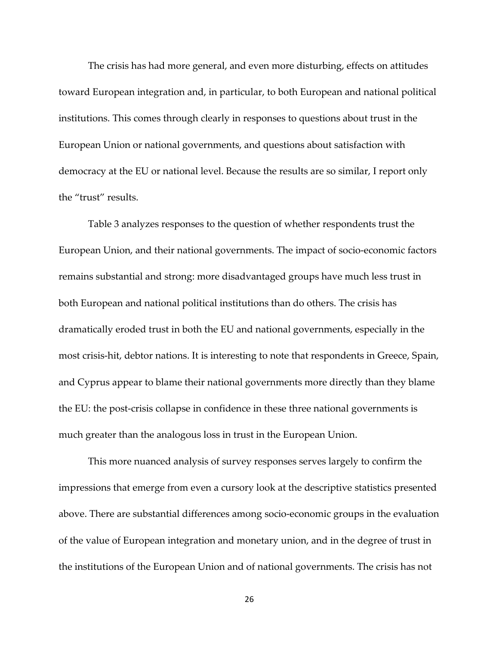The crisis has had more general, and even more disturbing, effects on attitudes toward European integration and, in particular, to both European and national political institutions. This comes through clearly in responses to questions about trust in the European Union or national governments, and questions about satisfaction with democracy at the EU or national level. Because the results are so similar, I report only the "trust" results.

Table 3 analyzes responses to the question of whether respondents trust the European Union, and their national governments. The impact of socio-economic factors remains substantial and strong: more disadvantaged groups have much less trust in both European and national political institutions than do others. The crisis has dramatically eroded trust in both the EU and national governments, especially in the most crisis-hit, debtor nations. It is interesting to note that respondents in Greece, Spain, and Cyprus appear to blame their national governments more directly than they blame the EU: the post-crisis collapse in confidence in these three national governments is much greater than the analogous loss in trust in the European Union.

This more nuanced analysis of survey responses serves largely to confirm the impressions that emerge from even a cursory look at the descriptive statistics presented above. There are substantial differences among socio-economic groups in the evaluation of the value of European integration and monetary union, and in the degree of trust in the institutions of the European Union and of national governments. The crisis has not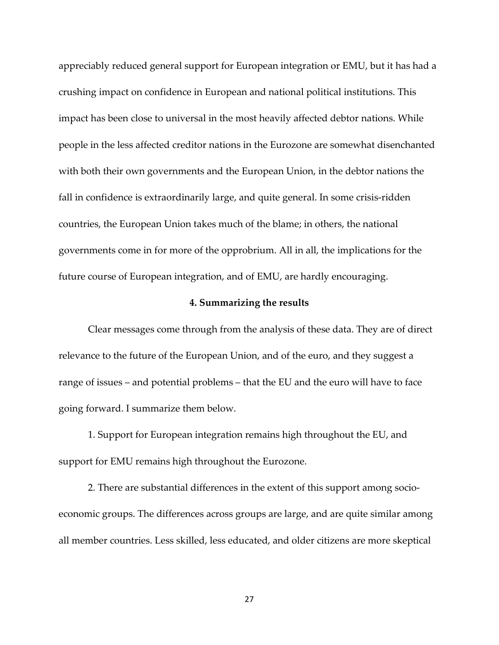appreciably reduced general support for European integration or EMU, but it has had a crushing impact on confidence in European and national political institutions. This impact has been close to universal in the most heavily affected debtor nations. While people in the less affected creditor nations in the Eurozone are somewhat disenchanted with both their own governments and the European Union, in the debtor nations the fall in confidence is extraordinarily large, and quite general. In some crisis-ridden countries, the European Union takes much of the blame; in others, the national governments come in for more of the opprobrium. All in all, the implications for the future course of European integration, and of EMU, are hardly encouraging.

#### **4. Summarizing the results**

Clear messages come through from the analysis of these data. They are of direct relevance to the future of the European Union, and of the euro, and they suggest a range of issues – and potential problems – that the EU and the euro will have to face going forward. I summarize them below.

1. Support for European integration remains high throughout the EU, and support for EMU remains high throughout the Eurozone.

2. There are substantial differences in the extent of this support among socioeconomic groups. The differences across groups are large, and are quite similar among all member countries. Less skilled, less educated, and older citizens are more skeptical

27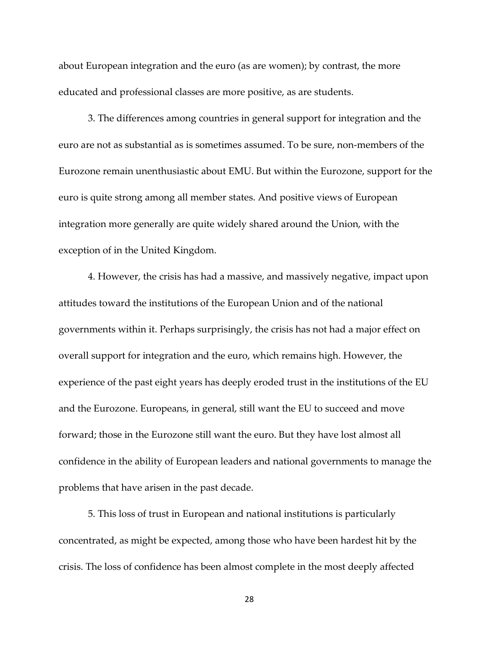about European integration and the euro (as are women); by contrast, the more educated and professional classes are more positive, as are students.

3. The differences among countries in general support for integration and the euro are not as substantial as is sometimes assumed. To be sure, non-members of the Eurozone remain unenthusiastic about EMU. But within the Eurozone, support for the euro is quite strong among all member states. And positive views of European integration more generally are quite widely shared around the Union, with the exception of in the United Kingdom.

4. However, the crisis has had a massive, and massively negative, impact upon attitudes toward the institutions of the European Union and of the national governments within it. Perhaps surprisingly, the crisis has not had a major effect on overall support for integration and the euro, which remains high. However, the experience of the past eight years has deeply eroded trust in the institutions of the EU and the Eurozone. Europeans, in general, still want the EU to succeed and move forward; those in the Eurozone still want the euro. But they have lost almost all confidence in the ability of European leaders and national governments to manage the problems that have arisen in the past decade.

5. This loss of trust in European and national institutions is particularly concentrated, as might be expected, among those who have been hardest hit by the crisis. The loss of confidence has been almost complete in the most deeply affected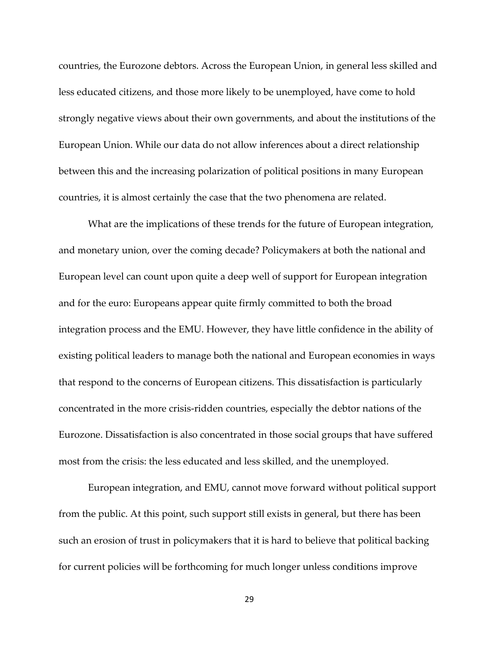countries, the Eurozone debtors. Across the European Union, in general less skilled and less educated citizens, and those more likely to be unemployed, have come to hold strongly negative views about their own governments, and about the institutions of the European Union. While our data do not allow inferences about a direct relationship between this and the increasing polarization of political positions in many European countries, it is almost certainly the case that the two phenomena are related.

What are the implications of these trends for the future of European integration, and monetary union, over the coming decade? Policymakers at both the national and European level can count upon quite a deep well of support for European integration and for the euro: Europeans appear quite firmly committed to both the broad integration process and the EMU. However, they have little confidence in the ability of existing political leaders to manage both the national and European economies in ways that respond to the concerns of European citizens. This dissatisfaction is particularly concentrated in the more crisis-ridden countries, especially the debtor nations of the Eurozone. Dissatisfaction is also concentrated in those social groups that have suffered most from the crisis: the less educated and less skilled, and the unemployed.

European integration, and EMU, cannot move forward without political support from the public. At this point, such support still exists in general, but there has been such an erosion of trust in policymakers that it is hard to believe that political backing for current policies will be forthcoming for much longer unless conditions improve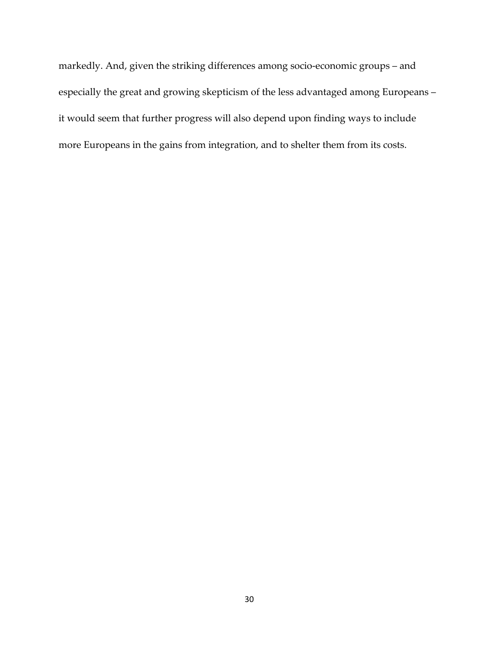markedly. And, given the striking differences among socio-economic groups – and especially the great and growing skepticism of the less advantaged among Europeans – it would seem that further progress will also depend upon finding ways to include more Europeans in the gains from integration, and to shelter them from its costs.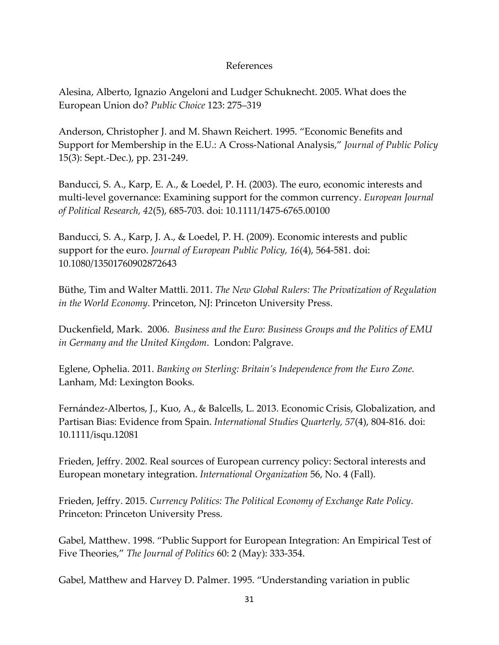## References

Alesina, Alberto, Ignazio Angeloni and Ludger Schuknecht. 2005. What does the European Union do? *Public Choice* 123: 275–319

Anderson, Christopher J. and M. Shawn Reichert. 1995. "Economic Benefits and Support for Membership in the E.U.: A Cross-National Analysis," *Journal of Public Policy*  15(3): Sept.-Dec.), pp. 231-249.

Banducci, S. A., Karp, E. A., & Loedel, P. H. (2003). The euro, economic interests and multi-level governance: Examining support for the common currency. *European Journal of Political Research, 42*(5), 685-703. doi: 10.1111/1475-6765.00100

Banducci, S. A., Karp, J. A., & Loedel, P. H. (2009). Economic interests and public support for the euro. *Journal of European Public Policy, 16*(4), 564-581. doi: 10.1080/13501760902872643

Büthe, Tim and Walter Mattli. 2011. *The New Global Rulers: The Privatization of Regulation in the World Economy*. Princeton, NJ: Princeton University Press.

Duckenfield, Mark. 2006. *Business and the Euro: Business Groups and the Politics of EMU in Germany and the United Kingdom*. London: Palgrave.

Eglene, Ophelia. 2011. *Banking on Sterling: Britain's Independence from the Euro Zone.* Lanham, Md: Lexington Books.

Fernández-Albertos, J., Kuo, A., & Balcells, L. 2013. Economic Crisis, Globalization, and Partisan Bias: Evidence from Spain. *International Studies Quarterly, 57*(4), 804-816. doi: 10.1111/isqu.12081

Frieden, Jeffry. 2002. Real sources of European currency policy: Sectoral interests and European monetary integration. *International Organization* 56, No. 4 (Fall).

Frieden, Jeffry. 2015. *Currency Politics: The Political Economy of Exchange Rate Policy*. Princeton: Princeton University Press.

Gabel, Matthew. 1998. "Public Support for European Integration: An Empirical Test of Five Theories," *The Journal of Politics* 60: 2 (May): 333-354.

Gabel, Matthew and Harvey D. Palmer. 1995. "Understanding variation in public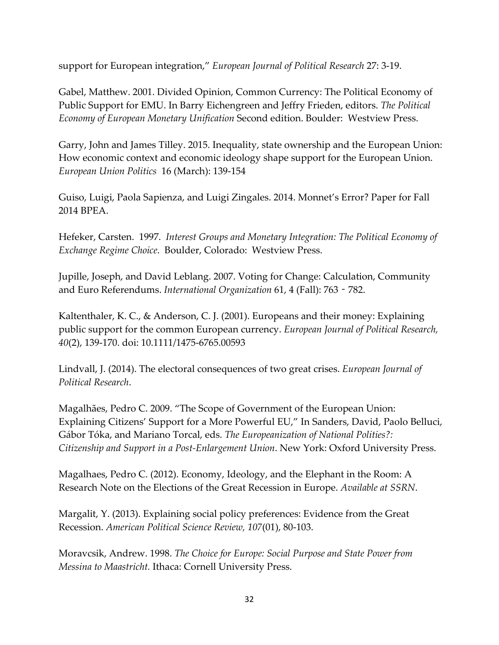support for European integration," *European Journal of Political Research* 27: 3-19.

Gabel, Matthew. 2001. Divided Opinion, Common Currency: The Political Economy of Public Support for EMU. In Barry Eichengreen and Jeffry Frieden, editors. *The Political Economy of European Monetary Unification* Second edition. Boulder: Westview Press.

Garry, John and James Tilley. 2015. Inequality, state ownership and the European Union: How economic context and economic ideology shape support for the European Union. *European Union Politics* 16 (March): 139-154

Guiso, Luigi, Paola Sapienza, and Luigi Zingales. 2014. Monnet's Error? Paper for Fall 2014 BPEA.

Hefeker, Carsten. 1997. *Interest Groups and Monetary Integration: The Political Economy of Exchange Regime Choice*. Boulder, Colorado: Westview Press.

Jupille, Joseph, and David Leblang. 2007. Voting for Change: Calculation, Community and Euro Referendums. *International Organization* 61, 4 (Fall): 763‐782.

Kaltenthaler, K. C., & Anderson, C. J. (2001). Europeans and their money: Explaining public support for the common European currency. *European Journal of Political Research, 40*(2), 139-170. doi: 10.1111/1475-6765.00593

Lindvall, J. (2014). The electoral consequences of two great crises. *European Journal of Political Research*.

Magalhães, Pedro C. 2009. "The Scope of Government of the European Union: Explaining Citizens' Support for a More Powerful EU," In Sanders, David, Paolo Belluci, Gábor Tóka, and Mariano Torcal, eds. *The Europeanization of National Polities?: Citizenship and Support in a Post-Enlargement Union*. New York: Oxford University Press.

Magalhaes, Pedro C. (2012). Economy, Ideology, and the Elephant in the Room: A Research Note on the Elections of the Great Recession in Europe. *Available at SSRN*.

Margalit, Y. (2013). Explaining social policy preferences: Evidence from the Great Recession. *American Political Science Review, 107*(01), 80-103.

Moravcsik, Andrew. 1998. *The Choice for Europe: Social Purpose and State Power from Messina to Maastricht.* Ithaca: Cornell University Press.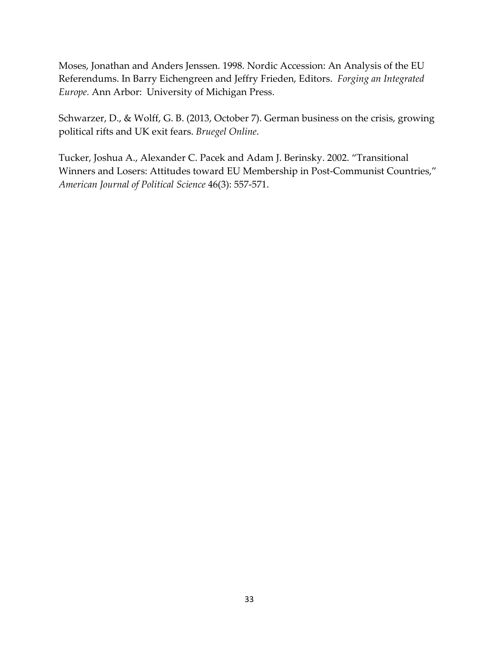Moses, Jonathan and Anders Jenssen. 1998. Nordic Accession: An Analysis of the EU Referendums. In Barry Eichengreen and Jeffry Frieden, Editors. *Forging an Integrated Europe.* Ann Arbor: University of Michigan Press.

Schwarzer, D., & Wolff, G. B. (2013, October 7). German business on the crisis, growing political rifts and UK exit fears. *Bruegel Online*.

Tucker, Joshua A., Alexander C. Pacek and Adam J. Berinsky. 2002. "Transitional Winners and Losers: Attitudes toward EU Membership in Post-Communist Countries," *American Journal of Political Science* 46(3): 557-571.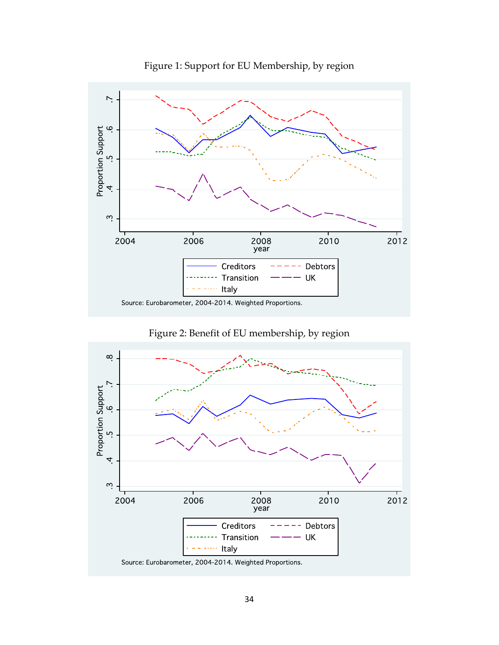

Figure 1: Support for EU Membership, by region



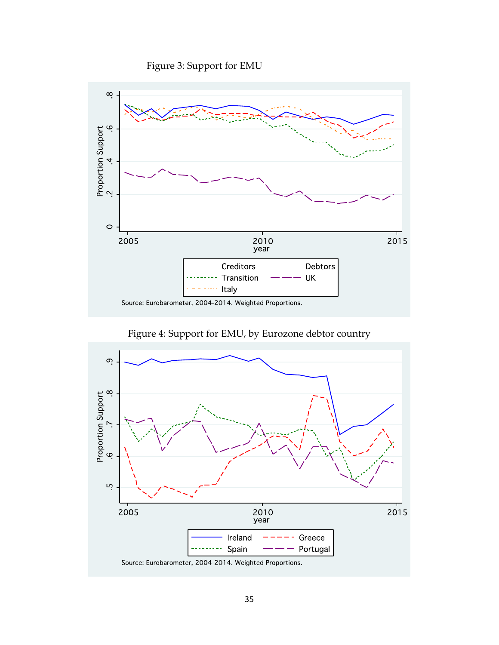Figure 3: Support for EMU



Figure 4: Support for EMU, by Eurozone debtor country

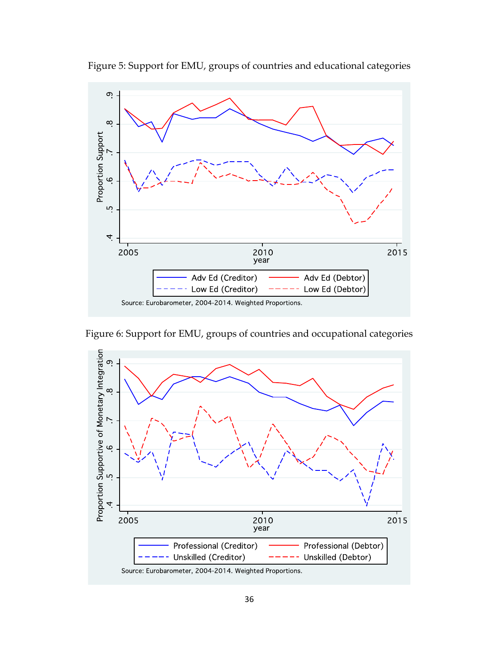

Figure 5: Support for EMU, groups of countries and educational categories

Figure 6: Support for EMU, groups of countries and occupational categories



Source: Eurobarometer, 2004-2014. Weighted Proportions.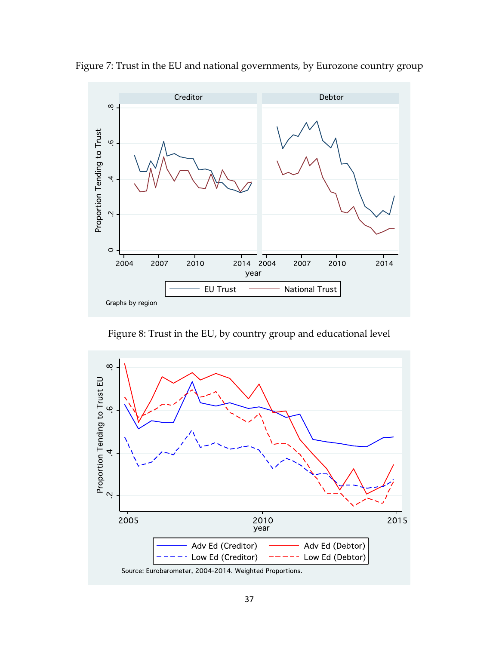

Figure 7: Trust in the EU and national governments, by Eurozone country group

Figure 8: Trust in the EU, by country group and educational level

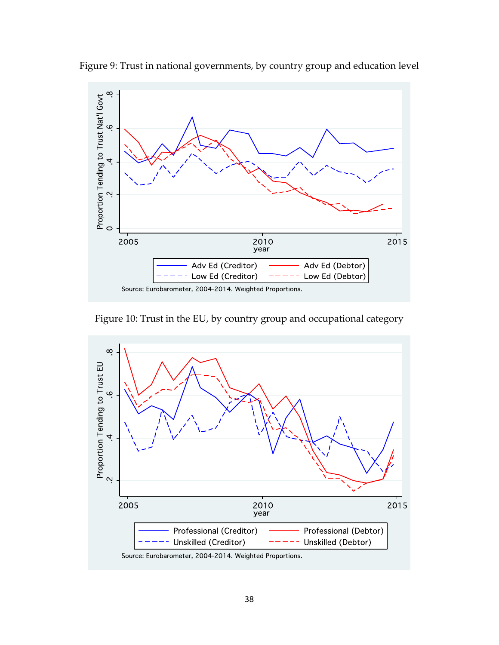

Figure 9: Trust in national governments, by country group and education level

Figure 10: Trust in the EU, by country group and occupational category

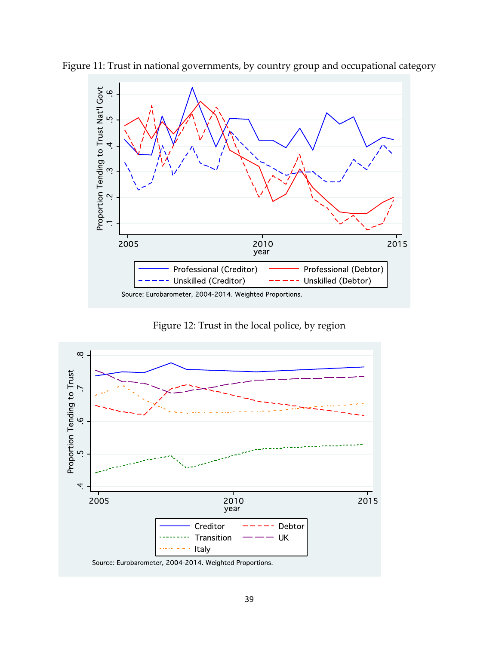

Figure 11: Trust in national governments, by country group and occupational category

Figure 12: Trust in the local police, by region

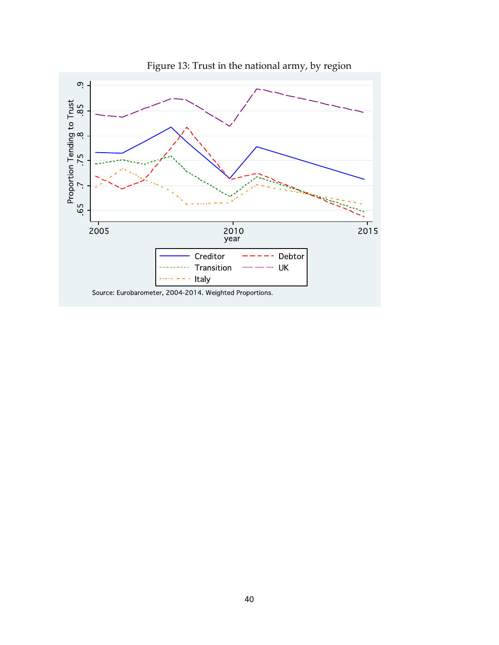

Figure 13: Trust in the national army, by region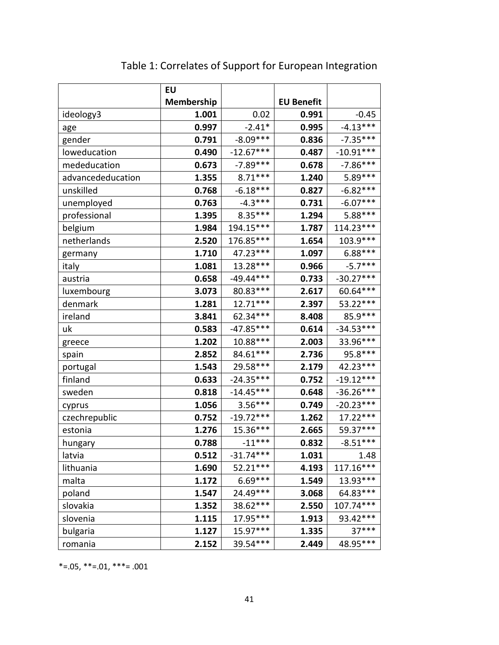|                   | EU                |             |                   |             |
|-------------------|-------------------|-------------|-------------------|-------------|
|                   | <b>Membership</b> |             | <b>EU Benefit</b> |             |
| ideology3         | 1.001             | 0.02        | 0.991             | $-0.45$     |
| age               | 0.997             | $-2.41*$    | 0.995             | $-4.13***$  |
| gender            | 0.791             | $-8.09***$  | 0.836             | $-7.35***$  |
| loweducation      | 0.490             | $-12.67***$ | 0.487             | $-10.91***$ |
| mededucation      | 0.673             | $-7.89***$  | 0.678             | $-7.86***$  |
| advancededucation | 1.355             | $8.71***$   | 1.240             | 5.89***     |
| unskilled         | 0.768             | $-6.18***$  | 0.827             | $-6.82***$  |
| unemployed        | 0.763             | $-4.3***$   | 0.731             | $-6.07***$  |
| professional      | 1.395             | $8.35***$   | 1.294             | 5.88***     |
| belgium           | 1.984             | 194.15***   | 1.787             | 114.23***   |
| netherlands       | 2.520             | 176.85***   | 1.654             | 103.9 ***   |
| germany           | 1.710             | 47.23 ***   | 1.097             | $6.88***$   |
| italy             | 1.081             | 13.28***    | 0.966             | $-5.7***$   |
| austria           | 0.658             | $-49.44***$ | 0.733             | $-30.27***$ |
| luxembourg        | 3.073             | 80.83***    | 2.617             | 60.64***    |
| denmark           | 1.281             | $12.71***$  | 2.397             | 53.22***    |
| ireland           | 3.841             | 62.34***    | 8.408             | 85.9 ***    |
| uk                | 0.583             | $-47.85***$ | 0.614             | $-34.53***$ |
| greece            | 1.202             | 10.88***    | 2.003             | 33.96***    |
| spain             | 2.852             | 84.61***    | 2.736             | $95.8***$   |
| portugal          | 1.543             | 29.58***    | 2.179             | 42.23 ***   |
| finland           | 0.633             | $-24.35***$ | 0.752             | $-19.12***$ |
| sweden            | 0.818             | $-14.45***$ | 0.648             | $-36.26***$ |
| cyprus            | 1.056             | $3.56***$   | 0.749             | $-20.23***$ |
| czechrepublic     | 0.752             | $-19.72***$ | 1.262             | 17.22***    |
| estonia           | 1.276             | 15.36***    | 2.665             | 59.37***    |
| hungary           | 0.788             | $-11***$    | 0.832             | $-8.51***$  |
| latvia            | 0.512             | $-31.74***$ | 1.031             | 1.48        |
| lithuania         | 1.690             | 52.21***    | 4.193             | 117.16***   |
| malta             | 1.172             | 6.69***     | 1.549             | 13.93***    |
| poland            | 1.547             | 24.49***    | 3.068             | 64.83***    |
| slovakia          | 1.352             | 38.62***    | 2.550             | 107.74***   |
| slovenia          | 1.115             | 17.95***    | 1.913             | 93.42***    |
| bulgaria          | 1.127             | 15.97***    | 1.335             | 37***       |
| romania           | 2.152             | 39.54***    | 2.449             | 48.95***    |

Table 1: Correlates of Support for European Integration

 $*=0.05$ ,  $**=0.01$ ,  $***=0.001$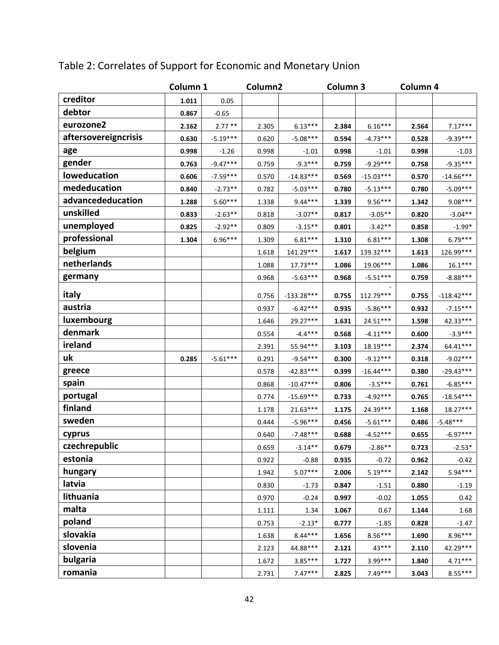|                      | Column 1 |            | Column2 |              | Column 3 |             | Column 4 |              |
|----------------------|----------|------------|---------|--------------|----------|-------------|----------|--------------|
| creditor             | 1.011    | 0.05       |         |              |          |             |          |              |
| debtor               | 0.867    | $-0.65$    |         |              |          |             |          |              |
| eurozone2            | 2.162    | $2.77**$   | 2.305   | $6.13***$    | 2.384    | $6.16***$   | 2.564    | $7.17***$    |
| aftersovereigncrisis | 0.630    | $-5.19***$ | 0.620   | $-5.08***$   | 0.594    | $-4.73***$  | 0.528    | $-9.39***$   |
| age                  | 0.998    | $-1.26$    | 0.998   | $-1.01$      | 0.998    | $-1.01$     | 0.998    | $-1.03$      |
| gender               | 0.763    | $-9.47***$ | 0.759   | $-9.3***$    | 0.759    | $-9.29***$  | 0.758    | $-9.35***$   |
| loweducation         | 0.606    | $-7.59***$ | 0.570   | $-14.83***$  | 0.569    | $-15.03***$ | 0.570    | $-14.66***$  |
| mededucation         | 0.840    | $-2.73**$  | 0.782   | $-5.03***$   | 0.780    | $-5.13***$  | 0.780    | $-5.09***$   |
| advancededucation    | 1.288    | $5.60***$  | 1.338   | $9.44***$    | 1.339    | $9.56***$   | 1.342    | $9.08***$    |
| unskilled            | 0.833    | $-2.63**$  | 0.818   | $-3.07**$    | 0.817    | $-3.05**$   | 0.820    | $-3.04**$    |
| unemployed           | 0.825    | $-2.92**$  | 0.809   | $-3.15**$    | 0.801    | $-3.42**$   | 0.858    | $-1.99*$     |
| professional         | 1.304    | 6.96***    | 1.309   | $6.81***$    | 1.310    | $6.81***$   | 1.308    | $6.79***$    |
| belgium              |          |            | 1.618   | 141.29***    | 1.617    | 139.32***   | 1.613    | 126.99***    |
| netherlands          |          |            | 1.088   | $17.73***$   | 1.086    | 19.06***    | 1.086    | $16.1***$    |
| germany              |          |            | 0.968   | $-5.63***$   | 0.968    | $-5.51***$  | 0.759    | $-8.88***$   |
| italy                |          |            | 0.756   | $-133.28***$ | 0.755    | 112.79***   | 0.755    | $-118.42***$ |
| austria              |          |            | 0.937   | $-6.42***$   | 0.935    | $-5.86***$  | 0.932    | $-7.15***$   |
| luxembourg           |          |            | 1.646   | 29.27***     | 1.631    | 24.51***    | 1.598    | 42.33***     |
| denmark              |          |            | 0.554   | $-4.4***$    | 0.568    | $-4.11***$  | 0.600    | $-3.9***$    |
| ireland              |          |            | 2.391   | 55.94***     | 3.103    | 18.19***    | 2.374    | $64.41***$   |
| uk                   | 0.285    | $-5.61***$ | 0.291   | $-9.54***$   | 0.300    | $-9.12***$  | 0.318    | $-9.02***$   |
| greece               |          |            | 0.578   | $-42.83***$  | 0.399    | $-16.44***$ | 0.380    | $-29.43***$  |
| spain                |          |            | 0.868   | $-10.47***$  | 0.806    | $-3.5***$   | 0.761    | $-6.85***$   |
| portugal             |          |            | 0.774   | $-15.69***$  | 0.733    | $-4.92***$  | 0.765    | $-18.54***$  |
| finland              |          |            | 1.178   | 21.63***     | 1.175    | 24.39***    | 1.168    | 18.27***     |
| sweden               |          |            | 0.444   | $-5.96***$   | 0.456    | $-5.61***$  | 0.486    | $-5.48***$   |
| cyprus               |          |            | 0.640   | $-7.48***$   | 0.688    | $-4.52***$  | 0.655    | $-6.97***$   |
| czechrepublic        |          |            | 0.659   | $3.14**$     | 0.679    | $-2.86**$   | 0.723    | $-2.53*$     |
| estonia              |          |            | 0.922   | $-0.88$      | 0.935    | $-0.72$     | 0.962    | $-0.42$      |
| hungary              |          |            | 1.942   | $5.07***$    | 2.006    | $5.19***$   | 2.142    | $5.94***$    |
| latvia               |          |            | 0.830   | $-1.73$      | 0.847    | $-1.51$     | 0.880    | $-1.19$      |
| lithuania            |          |            | 0.970   | $-0.24$      | 0.997    | $-0.02$     | 1.055    | 0.42         |
| malta                |          |            | 1.111   | 1.34         | 1.067    | 0.67        | 1.144    | 1.68         |
| poland               |          |            | 0.753   | $-2.13*$     | 0.777    | $-1.85$     | 0.828    | $-1.47$      |
| slovakia             |          |            | 1.638   | $8.44***$    | 1.656    | $8.56***$   | 1.690    | $8.96***$    |
| slovenia             |          |            | 2.123   | 44.88***     | 2.121    | 43***       | 2.110    | 42.29***     |
| bulgaria             |          |            | 1.672   | $3.85***$    | 1.727    | 3.99***     | 1.840    | $4.71***$    |
| romania              |          |            | 2.731   | $7.47***$    | 2.825    | 7.49***     | 3.043    | $8.55***$    |

# Table 2: Correlates of Support for Economic and Monetary Union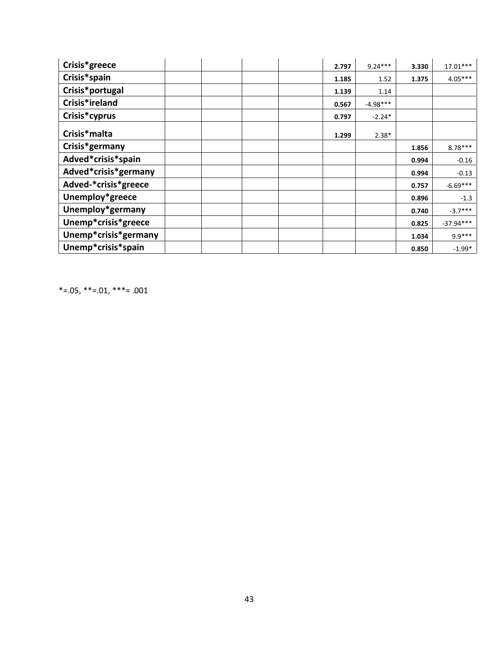| Crisis*greece        |  |  | 2.797 | $9.24***$  | 3.330 | $17.01***$  |
|----------------------|--|--|-------|------------|-------|-------------|
| Crisis*spain         |  |  | 1.185 | 1.52       | 1.375 | $4.05***$   |
| Crisis*portugal      |  |  | 1.139 | 1.14       |       |             |
| Crisis*ireland       |  |  | 0.567 | $-4.98***$ |       |             |
| Crisis*cyprus        |  |  | 0.797 | $-2.24*$   |       |             |
| Crisis*malta         |  |  | 1.299 | $2.38*$    |       |             |
| Crisis*germany       |  |  |       |            | 1.856 | $8.78***$   |
| Adved*crisis*spain   |  |  |       |            | 0.994 | $-0.16$     |
| Adved*crisis*germany |  |  |       |            | 0.994 | $-0.13$     |
| Adved-*crisis*greece |  |  |       |            | 0.757 | $-6.69***$  |
| Unemploy*greece      |  |  |       |            | 0.896 | $-1.3$      |
| Unemploy*germany     |  |  |       |            | 0.740 | $-3.7***$   |
| Unemp*crisis*greece  |  |  |       |            | 0.825 | $-37.94***$ |
| Unemp*crisis*germany |  |  |       |            | 1.034 | $9.9***$    |
| Unemp*crisis*spain   |  |  |       |            | 0.850 | $-1.99*$    |

 $*=0.05$ ,  $**=0.01$ ,  $***=0.001$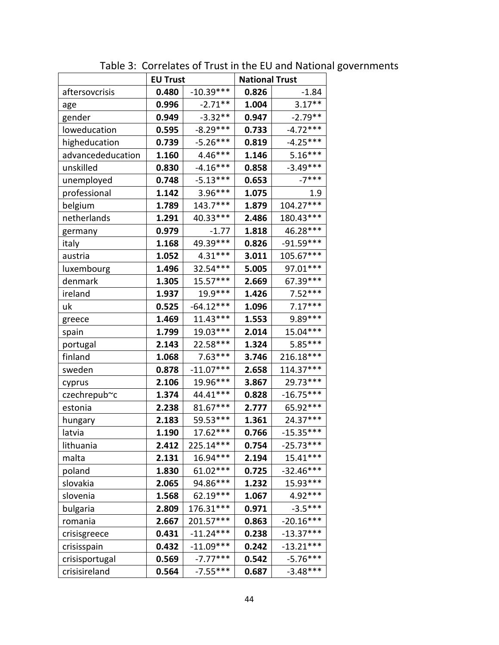|                   | <b>EU Trust</b> |             | <b>National Trust</b> |             |  |
|-------------------|-----------------|-------------|-----------------------|-------------|--|
| aftersovcrisis    | 0.480           | $-10.39***$ | 0.826                 | $-1.84$     |  |
| age               | 0.996           | $-2.71**$   | 1.004                 | $3.17**$    |  |
| gender            | 0.949           | $-3.32**$   | 0.947                 | $-2.79**$   |  |
| loweducation      | 0.595           | $-8.29***$  | 0.733                 | $-4.72***$  |  |
| higheducation     | 0.739           | $-5.26***$  | 0.819                 | $-4.25***$  |  |
| advancededucation | 1.160           | 4.46***     | 1.146                 | $5.16***$   |  |
| unskilled         | 0.830           | $-4.16***$  | 0.858                 | $-3.49***$  |  |
| unemployed        | 0.748           | $-5.13***$  | 0.653                 | $-7***$     |  |
| professional      | 1.142           | 3.96***     | 1.075                 | 1.9         |  |
| belgium           | 1.789           | 143.7***    | 1.879                 | 104.27***   |  |
| netherlands       | 1.291           | 40.33***    | 2.486                 | 180.43***   |  |
| germany           | 0.979           | $-1.77$     | 1.818                 | 46.28***    |  |
| italy             | 1.168           | 49.39 ***   | 0.826                 | $-91.59***$ |  |
| austria           | 1.052           | $4.31***$   | 3.011                 | 105.67***   |  |
| luxembourg        | 1.496           | 32.54***    | 5.005                 | 97.01***    |  |
| denmark           | 1.305           | $15.57***$  | 2.669                 | 67.39***    |  |
| ireland           | 1.937           | 19.9 ***    | 1.426                 | $7.52***$   |  |
| uk                | 0.525           | $-64.12***$ | 1.096                 | $7.17***$   |  |
| greece            | 1.469           | $11.43***$  | 1.553                 | 9.89***     |  |
| spain             | 1.799           | 19.03***    | 2.014                 | 15.04***    |  |
| portugal          | 2.143           | 22.58***    | 1.324                 | 5.85***     |  |
| finland           | 1.068           | $7.63***$   | 3.746                 | 216.18***   |  |
| sweden            | 0.878           | $-11.07***$ | 2.658                 | 114.37***   |  |
| cyprus            | 2.106           | 19.96***    | 3.867                 | 29.73***    |  |
| czechrepub~c      | 1.374           | 44.41***    | 0.828                 | $-16.75***$ |  |
| estonia           | 2.238           | 81.67***    | 2.777                 | 65.92***    |  |
| hungary           | 2.183           | 59.53***    | 1.361                 | 24.37***    |  |
| latvia            | 1.190           | 17.62 ***   | 0.766                 | $-15.35***$ |  |
| lithuania         | 2.412           | 225.14***   | 0.754                 | $-25.73***$ |  |
| malta             | 2.131           | 16.94***    | 2.194                 | $15.41***$  |  |
| poland            | 1.830           | 61.02***    | 0.725                 | $-32.46***$ |  |
| slovakia          | 2.065           | 94.86***    | 1.232                 | 15.93***    |  |
| slovenia          | 1.568           | 62.19 ***   | 1.067                 | 4.92***     |  |
| bulgaria          | 2.809           | 176.31***   | 0.971                 | $-3.5***$   |  |
| romania           | 2.667           | 201.57***   | 0.863                 | $-20.16***$ |  |
| crisisgreece      | 0.431           | $-11.24***$ | 0.238                 | $-13.37***$ |  |
| crisisspain       | 0.432           | $-11.09***$ | 0.242                 | $-13.21***$ |  |
| crisisportugal    | 0.569           | $-7.77***$  | 0.542                 | $-5.76***$  |  |
| crisisireland     | 0.564           | $-7.55***$  | 0.687                 | $-3.48***$  |  |

Table 3: Correlates of Trust in the EU and National governments